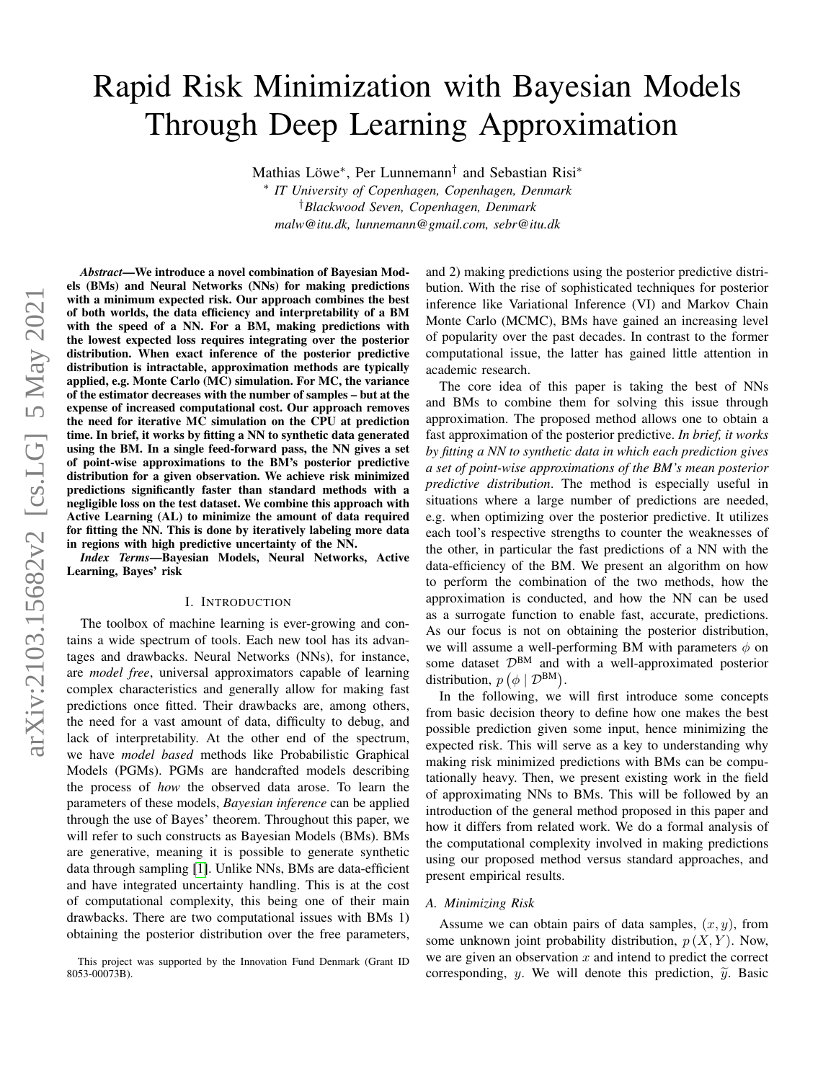# Rapid Risk Minimization with Bayesian Models Through Deep Learning Approximation

Mathias Löwe<sup>∗</sup> , Per Lunnemann† and Sebastian Risi<sup>∗</sup>

∗ *IT University of Copenhagen, Copenhagen, Denmark* †*Blackwood Seven, Copenhagen, Denmark malw@itu.dk, lunnemann@gmail.com, sebr@itu.dk*

*Abstract*—We introduce a novel combination of Bayesian Models (BMs) and Neural Networks (NNs) for making predictions with a minimum expected risk. Our approach combines the best of both worlds, the data efficiency and interpretability of a BM with the speed of a NN. For a BM, making predictions with the lowest expected loss requires integrating over the posterior distribution. When exact inference of the posterior predictive distribution is intractable, approximation methods are typically applied, e.g. Monte Carlo (MC) simulation. For MC, the variance of the estimator decreases with the number of samples – but at the expense of increased computational cost. Our approach removes the need for iterative MC simulation on the CPU at prediction time. In brief, it works by fitting a NN to synthetic data generated using the BM. In a single feed-forward pass, the NN gives a set of point-wise approximations to the BM's posterior predictive distribution for a given observation. We achieve risk minimized predictions significantly faster than standard methods with a negligible loss on the test dataset. We combine this approach with Active Learning (AL) to minimize the amount of data required for fitting the NN. This is done by iteratively labeling more data in regions with high predictive uncertainty of the NN.

*Index Terms*—Bayesian Models, Neural Networks, Active Learning, Bayes' risk

#### I. INTRODUCTION

The toolbox of machine learning is ever-growing and contains a wide spectrum of tools. Each new tool has its advantages and drawbacks. Neural Networks (NNs), for instance, are *model free*, universal approximators capable of learning complex characteristics and generally allow for making fast predictions once fitted. Their drawbacks are, among others, the need for a vast amount of data, difficulty to debug, and lack of interpretability. At the other end of the spectrum, we have *model based* methods like Probabilistic Graphical Models (PGMs). PGMs are handcrafted models describing the process of *how* the observed data arose. To learn the parameters of these models, *Bayesian inference* can be applied through the use of Bayes' theorem. Throughout this paper, we will refer to such constructs as Bayesian Models (BMs). BMs are generative, meaning it is possible to generate synthetic data through sampling [\[1\]](#page-7-0). Unlike NNs, BMs are data-efficient and have integrated uncertainty handling. This is at the cost of computational complexity, this being one of their main drawbacks. There are two computational issues with BMs 1) obtaining the posterior distribution over the free parameters, and 2) making predictions using the posterior predictive distribution. With the rise of sophisticated techniques for posterior inference like Variational Inference (VI) and Markov Chain Monte Carlo (MCMC), BMs have gained an increasing level of popularity over the past decades. In contrast to the former computational issue, the latter has gained little attention in academic research.

The core idea of this paper is taking the best of NNs and BMs to combine them for solving this issue through approximation. The proposed method allows one to obtain a fast approximation of the posterior predictive. *In brief, it works by fitting a NN to synthetic data in which each prediction gives a set of point-wise approximations of the BM's mean posterior predictive distribution*. The method is especially useful in situations where a large number of predictions are needed, e.g. when optimizing over the posterior predictive. It utilizes each tool's respective strengths to counter the weaknesses of the other, in particular the fast predictions of a NN with the data-efficiency of the BM. We present an algorithm on how to perform the combination of the two methods, how the approximation is conducted, and how the NN can be used as a surrogate function to enable fast, accurate, predictions. As our focus is not on obtaining the posterior distribution, we will assume a well-performing BM with parameters  $\phi$  on some dataset  $\mathcal{D}^{BM}$  and with a well-approximated posterior distribution,  $p\left(\phi \mid \mathcal{D}^{BM}\right)$ .

In the following, we will first introduce some concepts from basic decision theory to define how one makes the best possible prediction given some input, hence minimizing the expected risk. This will serve as a key to understanding why making risk minimized predictions with BMs can be computationally heavy. Then, we present existing work in the field of approximating NNs to BMs. This will be followed by an introduction of the general method proposed in this paper and how it differs from related work. We do a formal analysis of the computational complexity involved in making predictions using our proposed method versus standard approaches, and present empirical results.

#### *A. Minimizing Risk*

Assume we can obtain pairs of data samples,  $(x, y)$ , from some unknown joint probability distribution,  $p(X, Y)$ . Now, we are given an observation  $x$  and intend to predict the correct corresponding, y. We will denote this prediction,  $\tilde{y}$ . Basic

This project was supported by the Innovation Fund Denmark (Grant ID 8053-00073B).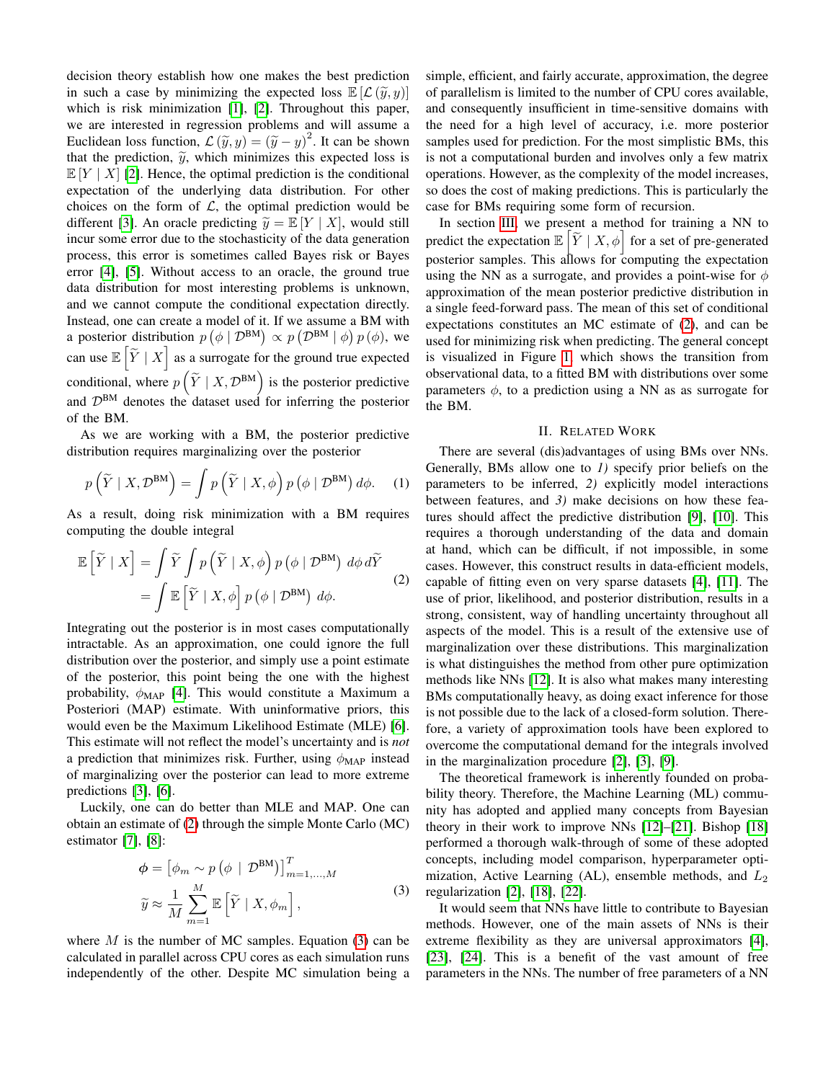decision theory establish how one makes the best prediction in such a case by minimizing the expected loss  $\mathbb{E}[\mathcal{L}(\widetilde{y}, y)]$ which is risk minimization [\[1\]](#page-7-0), [\[2\]](#page-7-1). Throughout this paper, we are interested in regression problems and will assume a Euclidean loss function,  $\mathcal{L}(\tilde{y}, y) = (\tilde{y} - y)^2$ . It can be shown that the prediction,  $\tilde{y}$ , which minimizes this expected loss is  $\mathbb{E}[Y \mid X]$  [\[2\]](#page-7-1). Hence, the optimal prediction is the conditional expectation of the underlying data distribution. For other choices on the form of  $\mathcal{L}$ , the optimal prediction would be different [\[3\]](#page-7-2). An oracle predicting  $\widetilde{y} = \mathbb{E}[Y | X]$ , would still incur some error due to the stochasticity of the data generation process, this error is sometimes called Bayes risk or Bayes error [\[4\]](#page-7-3), [\[5\]](#page-7-4). Without access to an oracle, the ground true data distribution for most interesting problems is unknown, and we cannot compute the conditional expectation directly. Instead, one can create a model of it. If we assume a BM with a posterior distribution  $p(\phi | \mathcal{D}^{BM}) \propto p(\mathcal{D}^{BM} | \phi) p(\phi)$ , we can use  $\mathbb{E}\left[\widetilde{Y} \mid X\right]$  as a surrogate for the ground true expected conditional, where  $p\left(\widetilde{Y} \mid X, \mathcal{D}^{BM}\right)$  is the posterior predictive and  $\mathcal{D}^{BM}$  denotes the dataset used for inferring the posterior of the BM.

As we are working with a BM, the posterior predictive distribution requires marginalizing over the posterior

$$
p\left(\widetilde{Y} \mid X, \mathcal{D}^{\text{BM}}\right) = \int p\left(\widetilde{Y} \mid X, \phi\right) p\left(\phi \mid \mathcal{D}^{\text{BM}}\right) d\phi. \tag{1}
$$

As a result, doing risk minimization with a BM requires computing the double integral

<span id="page-1-0"></span>
$$
\mathbb{E}\left[\widetilde{Y} \mid X\right] = \int \widetilde{Y} \int p\left(\widetilde{Y} \mid X, \phi\right) p\left(\phi \mid \mathcal{D}^{BM}\right) d\phi d\widetilde{Y}
$$

$$
= \int \mathbb{E}\left[\widetilde{Y} \mid X, \phi\right] p\left(\phi \mid \mathcal{D}^{BM}\right) d\phi. \tag{2}
$$

Integrating out the posterior is in most cases computationally intractable. As an approximation, one could ignore the full distribution over the posterior, and simply use a point estimate of the posterior, this point being the one with the highest probability,  $\phi_{MAP}$  [\[4\]](#page-7-3). This would constitute a Maximum a Posteriori (MAP) estimate. With uninformative priors, this would even be the Maximum Likelihood Estimate (MLE) [\[6\]](#page-7-5). This estimate will not reflect the model's uncertainty and is *not* a prediction that minimizes risk. Further, using  $\phi_{\text{MAP}}$  instead of marginalizing over the posterior can lead to more extreme predictions [\[3\]](#page-7-2), [\[6\]](#page-7-5).

Luckily, one can do better than MLE and MAP. One can obtain an estimate of [\(2\)](#page-1-0) through the simple Monte Carlo (MC) estimator [\[7\]](#page-7-6), [\[8\]](#page-7-7):

$$
\phi = \left[\phi_m \sim p\left(\phi \mid \mathcal{D}^{BM}\right)\right]_{m=1,\dots,M}^T
$$

$$
\widetilde{y} \approx \frac{1}{M} \sum_{m=1}^M \mathbb{E}\left[\widetilde{Y} \mid X, \phi_m\right],
$$
(3)

<span id="page-1-1"></span>where  $M$  is the number of MC samples. Equation [\(3\)](#page-1-1) can be calculated in parallel across CPU cores as each simulation runs independently of the other. Despite MC simulation being a simple, efficient, and fairly accurate, approximation, the degree of parallelism is limited to the number of CPU cores available, and consequently insufficient in time-sensitive domains with the need for a high level of accuracy, i.e. more posterior samples used for prediction. For the most simplistic BMs, this is not a computational burden and involves only a few matrix operations. However, as the complexity of the model increases, so does the cost of making predictions. This is particularly the case for BMs requiring some form of recursion.

In section [III,](#page-2-0) we present a method for training a NN to predict the expectation  $\mathbb{E}\left[\widetilde{Y} \mid X, \phi\right]$  for a set of pre-generated posterior samples. This allows for computing the expectation using the NN as a surrogate, and provides a point-wise for  $\phi$ approximation of the mean posterior predictive distribution in a single feed-forward pass. The mean of this set of conditional expectations constitutes an MC estimate of [\(2\)](#page-1-0), and can be used for minimizing risk when predicting. The general concept is visualized in Figure [1,](#page-2-1) which shows the transition from observational data, to a fitted BM with distributions over some parameters  $\phi$ , to a prediction using a NN as as surrogate for the BM.

## II. RELATED WORK

There are several (dis)advantages of using BMs over NNs. Generally, BMs allow one to *1)* specify prior beliefs on the parameters to be inferred, *2)* explicitly model interactions between features, and *3)* make decisions on how these features should affect the predictive distribution [\[9\]](#page-7-8), [\[10\]](#page-7-9). This requires a thorough understanding of the data and domain at hand, which can be difficult, if not impossible, in some cases. However, this construct results in data-efficient models, capable of fitting even on very sparse datasets [\[4\]](#page-7-3), [\[11\]](#page-7-10). The use of prior, likelihood, and posterior distribution, results in a strong, consistent, way of handling uncertainty throughout all aspects of the model. This is a result of the extensive use of marginalization over these distributions. This marginalization is what distinguishes the method from other pure optimization methods like NNs [\[12\]](#page-7-11). It is also what makes many interesting BMs computationally heavy, as doing exact inference for those is not possible due to the lack of a closed-form solution. Therefore, a variety of approximation tools have been explored to overcome the computational demand for the integrals involved in the marginalization procedure [\[2\]](#page-7-1), [\[3\]](#page-7-2), [\[9\]](#page-7-8).

The theoretical framework is inherently founded on probability theory. Therefore, the Machine Learning (ML) community has adopted and applied many concepts from Bayesian theory in their work to improve NNs [\[12\]](#page-7-11)–[\[21\]](#page-7-12). Bishop [\[18\]](#page-7-13) performed a thorough walk-through of some of these adopted concepts, including model comparison, hyperparameter optimization, Active Learning (AL), ensemble methods, and  $L_2$ regularization [\[2\]](#page-7-1), [\[18\]](#page-7-13), [\[22\]](#page-7-14).

It would seem that NNs have little to contribute to Bayesian methods. However, one of the main assets of NNs is their extreme flexibility as they are universal approximators [\[4\]](#page-7-3), [\[23\]](#page-7-15), [\[24\]](#page-7-16). This is a benefit of the vast amount of free parameters in the NNs. The number of free parameters of a NN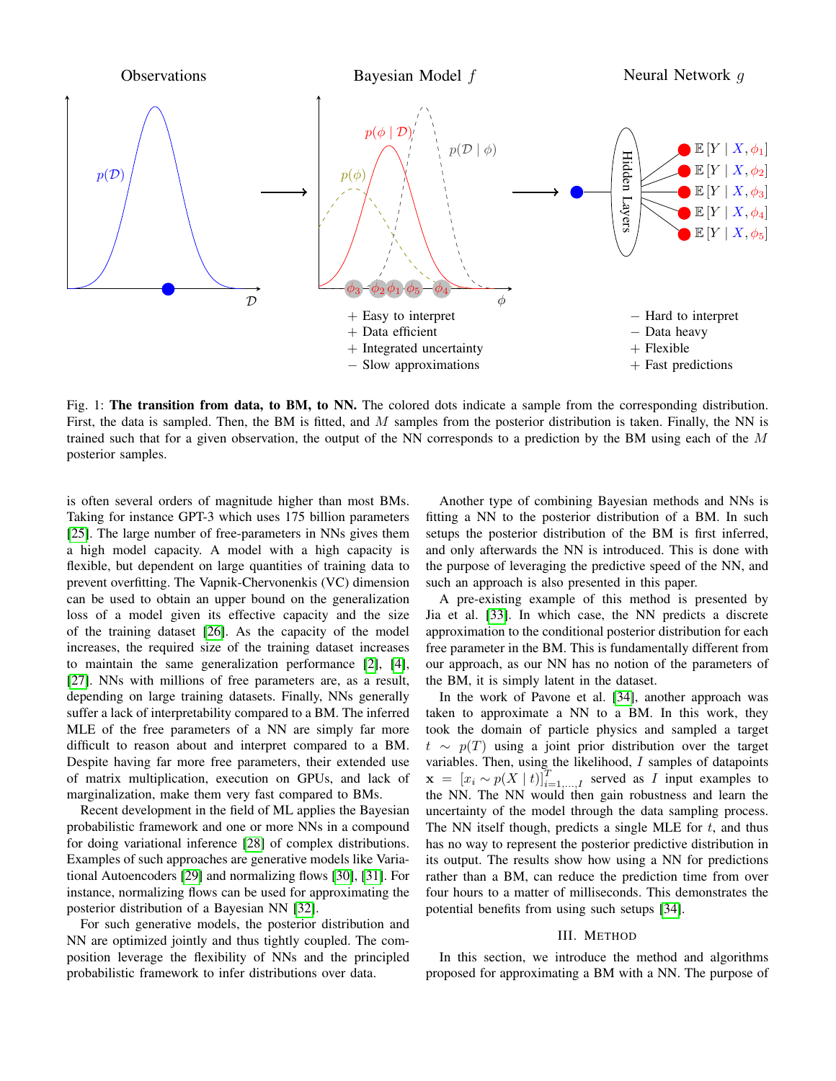<span id="page-2-1"></span>

Fig. 1: The transition from data, to BM, to NN. The colored dots indicate a sample from the corresponding distribution. First, the data is sampled. Then, the BM is fitted, and M samples from the posterior distribution is taken. Finally, the NN is trained such that for a given observation, the output of the NN corresponds to a prediction by the BM using each of the  $M$ posterior samples.

is often several orders of magnitude higher than most BMs. Taking for instance GPT-3 which uses 175 billion parameters [\[25\]](#page-7-17). The large number of free-parameters in NNs gives them a high model capacity. A model with a high capacity is flexible, but dependent on large quantities of training data to prevent overfitting. The Vapnik-Chervonenkis (VC) dimension can be used to obtain an upper bound on the generalization loss of a model given its effective capacity and the size of the training dataset [\[26\]](#page-7-18). As the capacity of the model increases, the required size of the training dataset increases to maintain the same generalization performance [\[2\]](#page-7-1), [\[4\]](#page-7-3), [\[27\]](#page-7-19). NNs with millions of free parameters are, as a result, depending on large training datasets. Finally, NNs generally suffer a lack of interpretability compared to a BM. The inferred MLE of the free parameters of a NN are simply far more difficult to reason about and interpret compared to a BM. Despite having far more free parameters, their extended use of matrix multiplication, execution on GPUs, and lack of marginalization, make them very fast compared to BMs.

Recent development in the field of ML applies the Bayesian probabilistic framework and one or more NNs in a compound for doing variational inference [\[28\]](#page-7-20) of complex distributions. Examples of such approaches are generative models like Variational Autoencoders [\[29\]](#page-7-21) and normalizing flows [\[30\]](#page-7-22), [\[31\]](#page-7-23). For instance, normalizing flows can be used for approximating the posterior distribution of a Bayesian NN [\[32\]](#page-7-24).

For such generative models, the posterior distribution and NN are optimized jointly and thus tightly coupled. The composition leverage the flexibility of NNs and the principled probabilistic framework to infer distributions over data.

Another type of combining Bayesian methods and NNs is fitting a NN to the posterior distribution of a BM. In such setups the posterior distribution of the BM is first inferred, and only afterwards the NN is introduced. This is done with the purpose of leveraging the predictive speed of the NN, and such an approach is also presented in this paper.

A pre-existing example of this method is presented by Jia et al. [\[33\]](#page-7-25). In which case, the NN predicts a discrete approximation to the conditional posterior distribution for each free parameter in the BM. This is fundamentally different from our approach, as our NN has no notion of the parameters of the BM, it is simply latent in the dataset.

In the work of Pavone et al. [\[34\]](#page-7-26), another approach was taken to approximate a NN to a BM. In this work, they took the domain of particle physics and sampled a target  $t \sim p(T)$  using a joint prior distribution over the target variables. Then, using the likelihood, I samples of datapoints  $\mathbf{x} = [x_i \sim p(X | t)]_{i=1,...,I}^T$  served as I input examples to the NN. The NN would then gain robustness and learn the uncertainty of the model through the data sampling process. The NN itself though, predicts a single MLE for  $t$ , and thus has no way to represent the posterior predictive distribution in its output. The results show how using a NN for predictions rather than a BM, can reduce the prediction time from over four hours to a matter of milliseconds. This demonstrates the potential benefits from using such setups [\[34\]](#page-7-26).

# III. METHOD

<span id="page-2-0"></span>In this section, we introduce the method and algorithms proposed for approximating a BM with a NN. The purpose of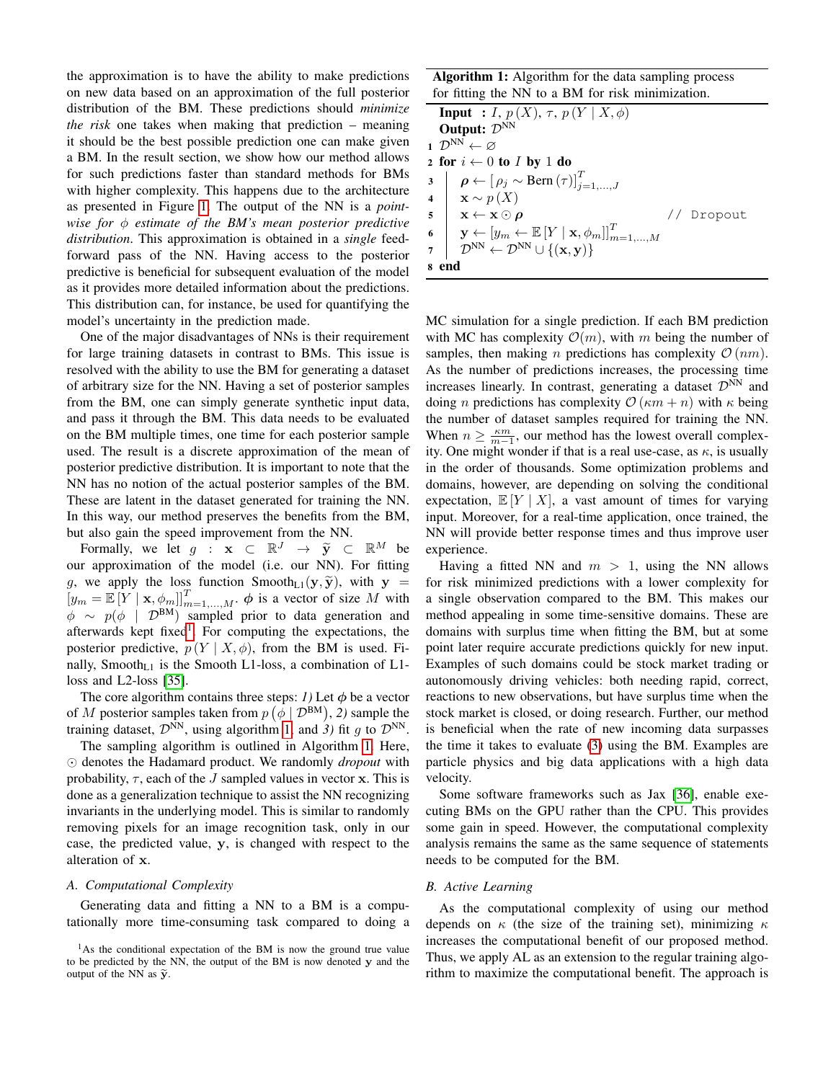the approximation is to have the ability to make predictions on new data based on an approximation of the full posterior distribution of the BM. These predictions should *minimize the risk* one takes when making that prediction – meaning it should be the best possible prediction one can make given a BM. In the result section, we show how our method allows for such predictions faster than standard methods for BMs with higher complexity. This happens due to the architecture as presented in Figure [1.](#page-2-1) The output of the NN is a *pointwise for*  $\phi$  *estimate of the BM's mean posterior predictive distribution*. This approximation is obtained in a *single* feedforward pass of the NN. Having access to the posterior predictive is beneficial for subsequent evaluation of the model as it provides more detailed information about the predictions. This distribution can, for instance, be used for quantifying the model's uncertainty in the prediction made.

One of the major disadvantages of NNs is their requirement for large training datasets in contrast to BMs. This issue is resolved with the ability to use the BM for generating a dataset of arbitrary size for the NN. Having a set of posterior samples from the BM, one can simply generate synthetic input data, and pass it through the BM. This data needs to be evaluated on the BM multiple times, one time for each posterior sample used. The result is a discrete approximation of the mean of posterior predictive distribution. It is important to note that the NN has no notion of the actual posterior samples of the BM. These are latent in the dataset generated for training the NN. In this way, our method preserves the benefits from the BM, but also gain the speed improvement from the NN.

Formally, we let  $g : \mathbf{x} \subset \mathbb{R}^J \to \tilde{\mathbf{y}} \subset \mathbb{R}^M$  be<br>r approximation of the model (i.e. our NN). For fitting our approximation of the model (i.e. our NN). For fitting g, we apply the loss function Smooth<sub>L1</sub>( $\mathbf{y}, \tilde{\mathbf{y}}$ ), with  $\mathbf{y} = [y_m = \mathbb{E}[Y | \mathbf{x}, \phi_m]]_{m=1,\dots,M}^T$ .  $\phi$  is a vector of size M with  $\phi \sim p(\phi \mid \mathcal{D}^{BM})$  sampled prior to data generation and afterwards kept fixed<sup>[1](#page-3-0)</sup>. For computing the expectations, the posterior predictive,  $p(Y | X, \phi)$ , from the BM is used. Finally, Smooth<sub>L1</sub> is the Smooth L1-loss, a combination of L1loss and L2-loss [\[35\]](#page-7-27).

The core algorithm contains three steps: *1*) Let  $\phi$  be a vector of M posterior samples taken from  $p(\phi | \mathcal{D}^{BM}), 2)$  sample the training dataset,  $\mathcal{D}^{\tilde{N}N}$ , using algorithm [1,](#page-3-1) and 3) fit q to  $\mathcal{D}^{\tilde{N}N}$ .

The sampling algorithm is outlined in Algorithm [1.](#page-3-1) Here,  $\odot$  denotes the Hadamard product. We randomly *dropout* with probability,  $\tau$ , each of the J sampled values in vector x. This is done as a generalization technique to assist the NN recognizing invariants in the underlying model. This is similar to randomly removing pixels for an image recognition task, only in our case, the predicted value, y, is changed with respect to the alteration of x.

#### *A. Computational Complexity*

Generating data and fitting a NN to a BM is a computationally more time-consuming task compared to doing a Algorithm 1: Algorithm for the data sampling process for fitting the NN to a BM for risk minimization.

| <b>Input</b> : I, $p(X)$ , $\tau$ , $p(Y   X, \phi)$                                                                                                                                                                                                                                                                                                                                                                                                                                          |
|-----------------------------------------------------------------------------------------------------------------------------------------------------------------------------------------------------------------------------------------------------------------------------------------------------------------------------------------------------------------------------------------------------------------------------------------------------------------------------------------------|
| Output: $\mathcal{D}^{NN}$                                                                                                                                                                                                                                                                                                                                                                                                                                                                    |
| 1 $\mathcal{D}^{\text{NN}} \leftarrow \varnothing$                                                                                                                                                                                                                                                                                                                                                                                                                                            |
| 2 for $i \leftarrow 0$ to <i>I</i> by 1 do                                                                                                                                                                                                                                                                                                                                                                                                                                                    |
| $\begin{array}{ll} \mathbf{a} & \mathbf{b} \in \left[ \rho_j \sim \text{Bern}\left(\tau\right) \right]_{j=1,,J}^T \ \mathbf{a} & \mathbf{x} \sim p\left(X\right) \ \mathbf{x} \leftarrow \mathbf{x} \odot \boldsymbol{\rho} \ \mathbf{b} & \mathbf{y} \leftarrow \left[ y_m \leftarrow \mathbb{E}\left[Y \mid \mathbf{x}, \phi_m\right] \right]_{m=1,,M}^T \ \mathcal{D}^{\text{NN}} \leftarrow \mathcal{D}^{\text{NN}} \cup \left\{ \left(\mathbf{x}, \mathbf{y}\right)\right\} \end{array}$ |
|                                                                                                                                                                                                                                                                                                                                                                                                                                                                                               |
| // Dropout                                                                                                                                                                                                                                                                                                                                                                                                                                                                                    |
|                                                                                                                                                                                                                                                                                                                                                                                                                                                                                               |
|                                                                                                                                                                                                                                                                                                                                                                                                                                                                                               |
| 8 end                                                                                                                                                                                                                                                                                                                                                                                                                                                                                         |

<span id="page-3-1"></span>MC simulation for a single prediction. If each BM prediction with MC has complexity  $\mathcal{O}(m)$ , with m being the number of samples, then making *n* predictions has complexity  $\mathcal{O}(nm)$ . As the number of predictions increases, the processing time increases linearly. In contrast, generating a dataset  $\mathcal{D}^{NN}$  and doing *n* predictions has complexity  $\mathcal{O}(\kappa m + n)$  with  $\kappa$  being the number of dataset samples required for training the NN. When  $n \geq \frac{\kappa m}{m-1}$ , our method has the lowest overall complexity. One might wonder if that is a real use-case, as  $\kappa$ , is usually in the order of thousands. Some optimization problems and domains, however, are depending on solving the conditional expectation,  $\mathbb{E}[Y | X]$ , a vast amount of times for varying input. Moreover, for a real-time application, once trained, the NN will provide better response times and thus improve user experience.

Having a fitted NN and  $m > 1$ , using the NN allows for risk minimized predictions with a lower complexity for a single observation compared to the BM. This makes our method appealing in some time-sensitive domains. These are domains with surplus time when fitting the BM, but at some point later require accurate predictions quickly for new input. Examples of such domains could be stock market trading or autonomously driving vehicles: both needing rapid, correct, reactions to new observations, but have surplus time when the stock market is closed, or doing research. Further, our method is beneficial when the rate of new incoming data surpasses the time it takes to evaluate [\(3\)](#page-1-1) using the BM. Examples are particle physics and big data applications with a high data velocity.

Some software frameworks such as Jax [\[36\]](#page-7-28), enable executing BMs on the GPU rather than the CPU. This provides some gain in speed. However, the computational complexity analysis remains the same as the same sequence of statements needs to be computed for the BM.

# *B. Active Learning*

As the computational complexity of using our method depends on  $\kappa$  (the size of the training set), minimizing  $\kappa$ increases the computational benefit of our proposed method. Thus, we apply AL as an extension to the regular training algorithm to maximize the computational benefit. The approach is

<span id="page-3-0"></span><sup>&</sup>lt;sup>1</sup>As the conditional expectation of the BM is now the ground true value to be predicted by the NN, the output of the BM is now denoted y and the output of the NN as  $\tilde{\mathbf{v}}$ .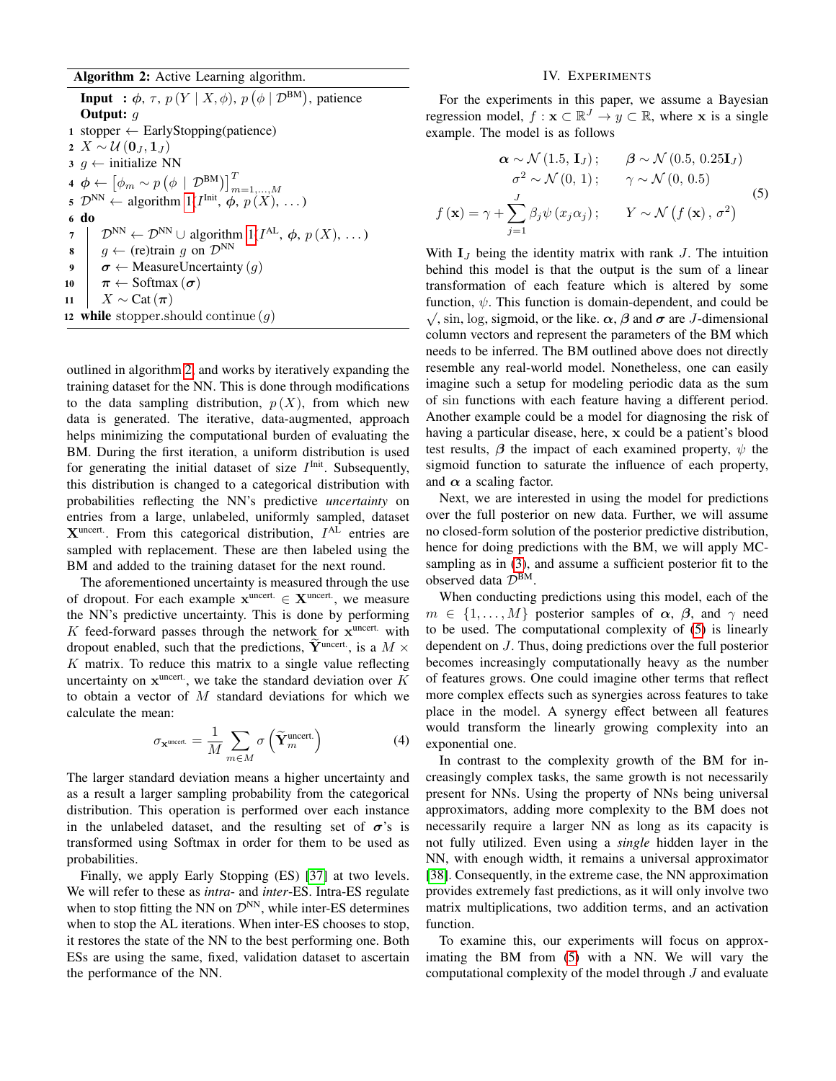# Algorithm 2: Active Learning algorithm.

**Input** :  $\phi$ ,  $\tau$ ,  $p(Y | X, \phi)$ ,  $p(\phi | \mathcal{D}^{BM})$ , patience **Output:**  $q$ 1 stopper  $\leftarrow$  EarlyStopping(patience) 2  $X \sim \mathcal{U}(\mathbf{0}_I, \mathbf{1}_I)$  $3 \t g \leftarrow$  initialize NN 4  $\phi \leftarrow [\phi_m \sim p (\phi \mid \mathcal{D}^{BM})]_{m=1,...,M}^T$ <br>5  $\mathcal{D}^{NN} \leftarrow$  algorithm  $1(I^{\text{Init}}, \phi, p(X), ...)$ 6 do 7  $\downarrow \mathcal{D}^{NN} \leftarrow \mathcal{D}^{NN} \cup$  algorithm  $1(I^{AL}, \phi, p(X), ...)$ 8  $\mid g \leftarrow$  (re)train g on  $\mathcal{D}^{NN}$ 9  $\sigma \leftarrow$  Measure Uncertainty  $(q)$ 10  $\pi \leftarrow \text{Softmax}(\sigma)$ 11 |  $X \sim \text{Cat}(\pi)$ 12 while stopper.should continue  $(g)$ 

<span id="page-4-0"></span>outlined in algorithm [2,](#page-4-0) and works by iteratively expanding the training dataset for the NN. This is done through modifications to the data sampling distribution,  $p(X)$ , from which new data is generated. The iterative, data-augmented, approach helps minimizing the computational burden of evaluating the BM. During the first iteration, a uniform distribution is used for generating the initial dataset of size  $I^{\text{Init}}$ . Subsequently, this distribution is changed to a categorical distribution with probabilities reflecting the NN's predictive *uncertainty* on entries from a large, unlabeled, uniformly sampled, dataset  $X<sup>uncert</sup>$ . From this categorical distribution,  $I<sup>AL</sup>$  entries are sampled with replacement. These are then labeled using the BM and added to the training dataset for the next round.

The aforementioned uncertainty is measured through the use of dropout. For each example  $\mathbf{x}^{\text{uncert.}} \in \mathbf{X}^{\text{uncert.}}$ , we measure the NN's predictive uncertainty. This is done by performing  $K$  feed-forward passes through the network for  $x^{uncert.}$  with dropout enabled, such that the predictions,  $\widetilde{Y}^{\text{uncert}}$ , is a  $M \times$  $K$  matrix. To reduce this matrix to a single value reflecting uncertainty on  $x^{\text{uncert}}$ , we take the standard deviation over K to obtain a vector of  $M$  standard deviations for which we calculate the mean:

<span id="page-4-2"></span>
$$
\sigma_{\mathbf{x}^{\text{uncert.}}} = \frac{1}{M} \sum_{m \in M} \sigma\left(\widetilde{\mathbf{Y}}_m^{\text{uncert.}}\right) \tag{4}
$$

The larger standard deviation means a higher uncertainty and as a result a larger sampling probability from the categorical distribution. This operation is performed over each instance in the unlabeled dataset, and the resulting set of  $\sigma$ 's is transformed using Softmax in order for them to be used as probabilities.

Finally, we apply Early Stopping (ES) [\[37\]](#page-7-29) at two levels. We will refer to these as *intra*- and *inter*-ES. Intra-ES regulate when to stop fitting the NN on  $\mathcal{D}^{NN}$ , while inter-ES determines when to stop the AL iterations. When inter-ES chooses to stop, it restores the state of the NN to the best performing one. Both ESs are using the same, fixed, validation dataset to ascertain the performance of the NN.

# IV. EXPERIMENTS

For the experiments in this paper, we assume a Bayesian regression model,  $f : \mathbf{x} \subset \mathbb{R}^J \to y \subset \mathbb{R}$ , where x is a single example. The model is as follows

<span id="page-4-1"></span>
$$
\alpha \sim \mathcal{N}(1.5, \mathbf{I}_J); \qquad \beta \sim \mathcal{N}(0.5, 0.25\mathbf{I}_J)
$$

$$
\sigma^2 \sim \mathcal{N}(0, 1); \qquad \gamma \sim \mathcal{N}(0, 0.5)
$$

$$
f(\mathbf{x}) = \gamma + \sum_{j=1}^J \beta_j \psi(x_j \alpha_j); \qquad Y \sim \mathcal{N}(f(\mathbf{x}), \sigma^2)
$$
(5)

With  $I_J$  being the identity matrix with rank  $J$ . The intuition behind this model is that the output is the sum of a linear transformation of each feature which is altered by some function,  $\psi$ . This function is domain-dependent, and could be  $\sqrt{$ , sin, log, sigmoid, or the like.  $\alpha$ ,  $\beta$  and  $\sigma$  are J-dimensional column vectors and represent the parameters of the BM which needs to be inferred. The BM outlined above does not directly resemble any real-world model. Nonetheless, one can easily imagine such a setup for modeling periodic data as the sum of sin functions with each feature having a different period. Another example could be a model for diagnosing the risk of having a particular disease, here, x could be a patient's blood test results,  $\beta$  the impact of each examined property,  $\psi$  the sigmoid function to saturate the influence of each property, and  $\alpha$  a scaling factor.

Next, we are interested in using the model for predictions over the full posterior on new data. Further, we will assume no closed-form solution of the posterior predictive distribution, hence for doing predictions with the BM, we will apply MCsampling as in [\(3\)](#page-1-1), and assume a sufficient posterior fit to the observed data  $\mathcal{D}^{\text{BM}}$ .

When conducting predictions using this model, each of the  $m \in \{1, \ldots, M\}$  posterior samples of  $\alpha$ ,  $\beta$ , and  $\gamma$  need to be used. The computational complexity of [\(5\)](#page-4-1) is linearly dependent on J. Thus, doing predictions over the full posterior becomes increasingly computationally heavy as the number of features grows. One could imagine other terms that reflect more complex effects such as synergies across features to take place in the model. A synergy effect between all features would transform the linearly growing complexity into an exponential one.

In contrast to the complexity growth of the BM for increasingly complex tasks, the same growth is not necessarily present for NNs. Using the property of NNs being universal approximators, adding more complexity to the BM does not necessarily require a larger NN as long as its capacity is not fully utilized. Even using a *single* hidden layer in the NN, with enough width, it remains a universal approximator [\[38\]](#page-7-30). Consequently, in the extreme case, the NN approximation provides extremely fast predictions, as it will only involve two matrix multiplications, two addition terms, and an activation function.

To examine this, our experiments will focus on approximating the BM from [\(5\)](#page-4-1) with a NN. We will vary the computational complexity of the model through J and evaluate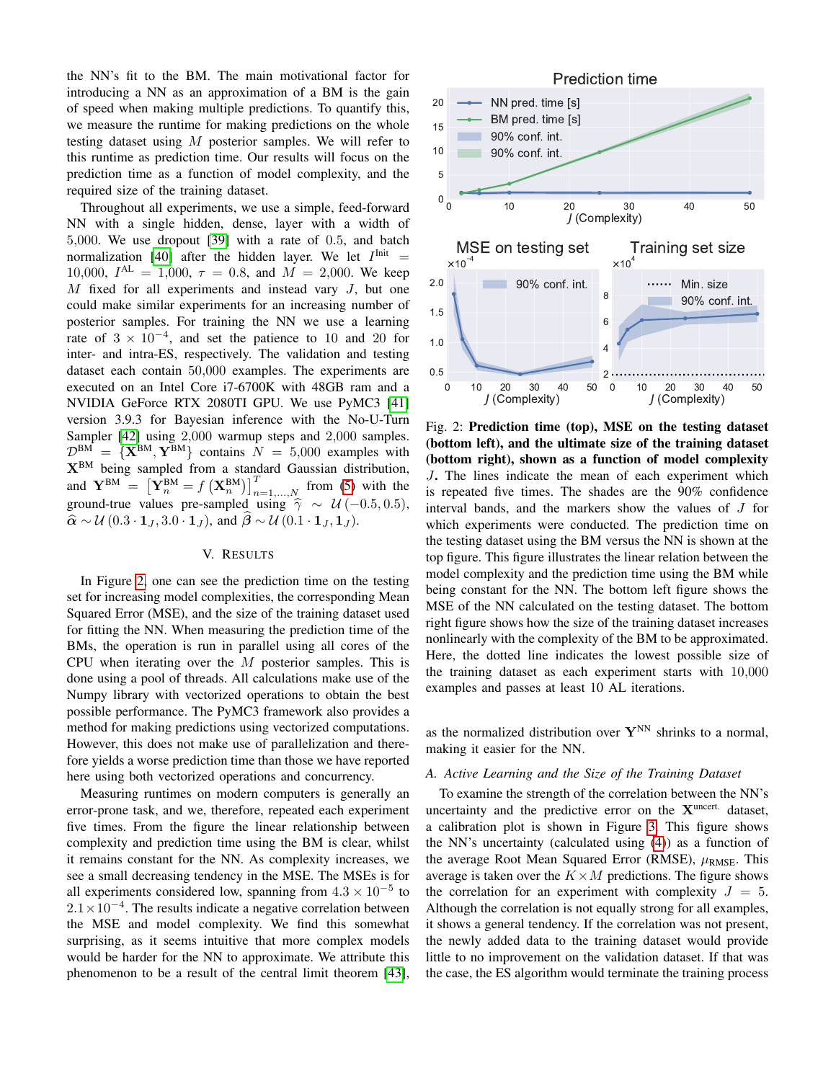the NN's fit to the BM. The main motivational factor for introducing a NN as an approximation of a BM is the gain of speed when making multiple predictions. To quantify this, we measure the runtime for making predictions on the whole testing dataset using  $M$  posterior samples. We will refer to this runtime as prediction time. Our results will focus on the prediction time as a function of model complexity, and the required size of the training dataset.

Throughout all experiments, we use a simple, feed-forward NN with a single hidden, dense, layer with a width of 5,000. We use dropout [\[39\]](#page-7-31) with a rate of 0.5, and batch normalization [\[40\]](#page-7-32) after the hidden layer. We let  $I<sup>Init</sup> =$ 10,000,  $I^{AL} = 1,000$ ,  $\tau = 0.8$ , and  $M = 2,000$ . We keep  $M$  fixed for all experiments and instead vary  $J$ , but one could make similar experiments for an increasing number of posterior samples. For training the NN we use a learning rate of  $3 \times 10^{-4}$ , and set the patience to 10 and 20 for inter- and intra-ES, respectively. The validation and testing dataset each contain 50,000 examples. The experiments are executed on an Intel Core i7-6700K with 48GB ram and a NVIDIA GeForce RTX 2080TI GPU. We use PyMC3 [\[41\]](#page-7-33) version 3.9.3 for Bayesian inference with the No-U-Turn Sampler [\[42\]](#page-7-34) using 2,000 warmup steps and 2,000 samples.  $\mathcal{D}^{BM} = \{ \mathbf{X}^{BM}, \mathbf{Y}^{BM} \}$  contains  $N = 5,000$  examples with XBM being sampled from a standard Gaussian distribution, and  $\mathbf{Y}^{BM} = \left[\hat{\mathbf{Y}}_n^{BM} = f\left(\mathbf{X}_n^{BM}\right)\right]_{n=1,\dots,N}^T$  from [\(5\)](#page-4-1) with the ground-true values pre-sampled using  $\hat{\gamma} \sim \mathcal{U} (-0.5, 0.5)$ ,  $\hat{\alpha} \sim \mathcal{U} (0.3 \cdot \mathbf{1}_J, 3.0 \cdot \mathbf{1}_J)$ , and  $\beta \sim \mathcal{U} (0.1 \cdot \mathbf{1}_J, \mathbf{1}_J)$ .

#### V. RESULTS

In Figure [2,](#page-5-0) one can see the prediction time on the testing set for increasing model complexities, the corresponding Mean Squared Error (MSE), and the size of the training dataset used for fitting the NN. When measuring the prediction time of the BMs, the operation is run in parallel using all cores of the CPU when iterating over the  $M$  posterior samples. This is done using a pool of threads. All calculations make use of the Numpy library with vectorized operations to obtain the best possible performance. The PyMC3 framework also provides a method for making predictions using vectorized computations. However, this does not make use of parallelization and therefore yields a worse prediction time than those we have reported here using both vectorized operations and concurrency.

Measuring runtimes on modern computers is generally an error-prone task, and we, therefore, repeated each experiment five times. From the figure the linear relationship between complexity and prediction time using the BM is clear, whilst it remains constant for the NN. As complexity increases, we see a small decreasing tendency in the MSE. The MSEs is for all experiments considered low, spanning from  $4.3 \times 10^{-5}$  to  $2.1 \times 10^{-4}$ . The results indicate a negative correlation between the MSE and model complexity. We find this somewhat surprising, as it seems intuitive that more complex models would be harder for the NN to approximate. We attribute this phenomenon to be a result of the central limit theorem [\[43\]](#page-7-35),

<span id="page-5-0"></span>

Fig. 2: Prediction time (top), MSE on the testing dataset (bottom left), and the ultimate size of the training dataset (bottom right), shown as a function of model complexity J. The lines indicate the mean of each experiment which is repeated five times. The shades are the 90% confidence interval bands, and the markers show the values of J for which experiments were conducted. The prediction time on the testing dataset using the BM versus the NN is shown at the top figure. This figure illustrates the linear relation between the model complexity and the prediction time using the BM while being constant for the NN. The bottom left figure shows the MSE of the NN calculated on the testing dataset. The bottom right figure shows how the size of the training dataset increases nonlinearly with the complexity of the BM to be approximated. Here, the dotted line indicates the lowest possible size of the training dataset as each experiment starts with 10,000 examples and passes at least 10 AL iterations.

as the normalized distribution over  $Y^{NN}$  shrinks to a normal, making it easier for the NN.

# *A. Active Learning and the Size of the Training Dataset*

To examine the strength of the correlation between the NN's uncertainty and the predictive error on the  $X<sup>uncert.</sup>$  dataset, a calibration plot is shown in Figure [3.](#page-6-0) This figure shows the NN's uncertainty (calculated using [\(4\)](#page-4-2)) as a function of the average Root Mean Squared Error (RMSE),  $\mu_{RMSE}$ . This average is taken over the  $K \times M$  predictions. The figure shows the correlation for an experiment with complexity  $J = 5$ . Although the correlation is not equally strong for all examples, it shows a general tendency. If the correlation was not present, the newly added data to the training dataset would provide little to no improvement on the validation dataset. If that was the case, the ES algorithm would terminate the training process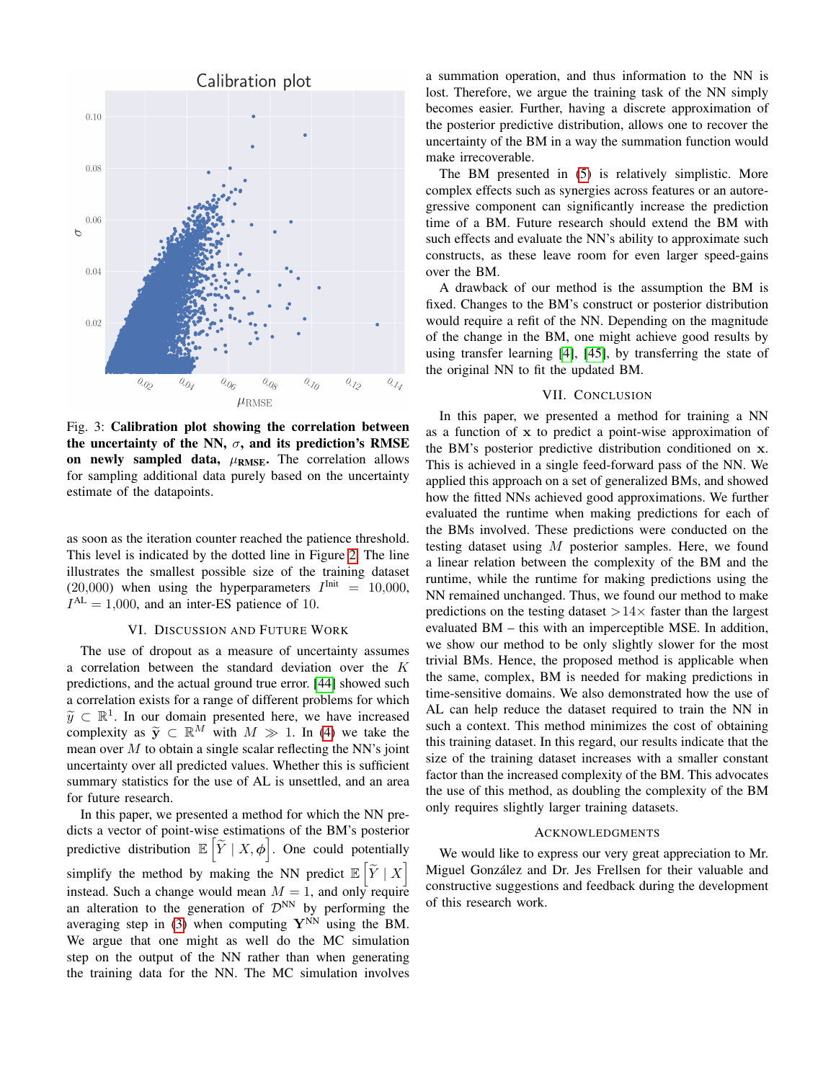<span id="page-6-0"></span>

Fig. 3: Calibration plot showing the correlation between the uncertainty of the NN,  $\sigma$ , and its prediction's RMSE on newly sampled data,  $\mu_{RMSE}$ . The correlation allows for sampling additional data purely based on the uncertainty estimate of the datapoints.

as soon as the iteration counter reached the patience threshold. This level is indicated by the dotted line in Figure [2.](#page-5-0) The line illustrates the smallest possible size of the training dataset (20,000) when using the hyperparameters  $I<sup>Init</sup> = 10,000$ ,  $I^{AL} = 1,000$ , and an inter-ES patience of 10.

#### VI. DISCUSSION AND FUTURE WORK

The use of dropout as a measure of uncertainty assumes a correlation between the standard deviation over the K predictions, and the actual ground true error. [\[44\]](#page-7-36) showed such a correlation exists for a range of different problems for which  $\widetilde{y} \subset \mathbb{R}^1$ . In our domain presented here, we have increased<br>complexity as  $\widetilde{y} \subset \mathbb{R}^M$  with  $M \gg 1$ . In (4) we take the complexity as  $\widetilde{y} \subset \mathbb{R}^M$  with  $M \gg 1$ . In [\(4\)](#page-4-2) we take the mean over  $M$  to obtain a single scalar reflecting the NN's joint uncertainty over all predicted values. Whether this is sufficient summary statistics for the use of AL is unsettled, and an area for future research.

In this paper, we presented a method for which the NN predicts a vector of point-wise estimations of the BM's posterior predictive distribution  $\mathbb{E}\left[\widetilde{Y} \mid X, \phi\right]$ . One could potentially simplify the method by making the NN predict  $\mathbb{E}\left[\widetilde{Y} \mid X\right]$ instead. Such a change would mean  $M = 1$ , and only require an alteration to the generation of  $\mathcal{D}^{NN}$  by performing the averaging step in [\(3\)](#page-1-1) when computing  $Y^{NN}$  using the BM. We argue that one might as well do the MC simulation step on the output of the NN rather than when generating the training data for the NN. The MC simulation involves

a summation operation, and thus information to the NN is lost. Therefore, we argue the training task of the NN simply becomes easier. Further, having a discrete approximation of the posterior predictive distribution, allows one to recover the uncertainty of the BM in a way the summation function would make irrecoverable.

The BM presented in [\(5\)](#page-4-1) is relatively simplistic. More complex effects such as synergies across features or an autoregressive component can significantly increase the prediction time of a BM. Future research should extend the BM with such effects and evaluate the NN's ability to approximate such constructs, as these leave room for even larger speed-gains over the BM.

A drawback of our method is the assumption the BM is fixed. Changes to the BM's construct or posterior distribution would require a refit of the NN. Depending on the magnitude of the change in the BM, one might achieve good results by using transfer learning [\[4\]](#page-7-3), [\[45\]](#page-7-37), by transferring the state of the original NN to fit the updated BM.

#### VII. CONCLUSION

In this paper, we presented a method for training a NN as a function of x to predict a point-wise approximation of the BM's posterior predictive distribution conditioned on x. This is achieved in a single feed-forward pass of the NN. We applied this approach on a set of generalized BMs, and showed how the fitted NNs achieved good approximations. We further evaluated the runtime when making predictions for each of the BMs involved. These predictions were conducted on the testing dataset using M posterior samples. Here, we found a linear relation between the complexity of the BM and the runtime, while the runtime for making predictions using the NN remained unchanged. Thus, we found our method to make predictions on the testing dataset  $>14\times$  faster than the largest evaluated BM – this with an imperceptible MSE. In addition, we show our method to be only slightly slower for the most trivial BMs. Hence, the proposed method is applicable when the same, complex, BM is needed for making predictions in time-sensitive domains. We also demonstrated how the use of AL can help reduce the dataset required to train the NN in such a context. This method minimizes the cost of obtaining this training dataset. In this regard, our results indicate that the size of the training dataset increases with a smaller constant factor than the increased complexity of the BM. This advocates the use of this method, as doubling the complexity of the BM only requires slightly larger training datasets.

# ACKNOWLEDGMENTS

We would like to express our very great appreciation to Mr. Miguel González and Dr. Jes Frellsen for their valuable and constructive suggestions and feedback during the development of this research work.